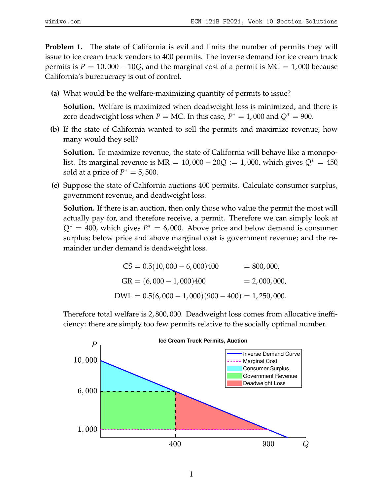**Problem 1.** The state of California is evil and limits the number of permits they will issue to ice cream truck vendors to 400 permits. The inverse demand for ice cream truck permits is  $P = 10,000 - 10Q$ , and the marginal cost of a permit is  $MC = 1,000$  because California's bureaucracy is out of control.

**(a)** What would be the welfare-maximizing quantity of permits to issue?

**Solution.** Welfare is maximized when deadweight loss is minimized, and there is zero deadweight loss when  $P = MC$ . In this case,  $P^* = 1,000$  and  $Q^* = 900$ .

**(b)** If the state of California wanted to sell the permits and maximize revenue, how many would they sell?

**Solution.** To maximize revenue, the state of California will behave like a monopolist. Its marginal revenue is  $MR = 10,000 - 20Q := 1,000$ , which gives  $Q^* = 450$ sold at a price of  $P^* = 5,500$ .

**(c)** Suppose the state of California auctions 400 permits. Calculate consumer surplus, government revenue, and deadweight loss.

**Solution.** If there is an auction, then only those who value the permit the most will actually pay for, and therefore receive, a permit. Therefore we can simply look at  $Q^* = 400$ , which gives  $P^* = 6,000$ . Above price and below demand is consumer surplus; below price and above marginal cost is government revenue; and the remainder under demand is deadweight loss.

$$
CS = 0.5(10,000 - 6,000)400 = 800,000,
$$
  
\n
$$
GR = (6,000 - 1,000)400 = 2,000,000,
$$
  
\n
$$
DWL = 0.5(6,000 - 1,000)(900 - 400) = 1,250,000.
$$

Therefore total welfare is 2, 800, 000. Deadweight loss comes from allocative inefficiency: there are simply too few permits relative to the socially optimal number.

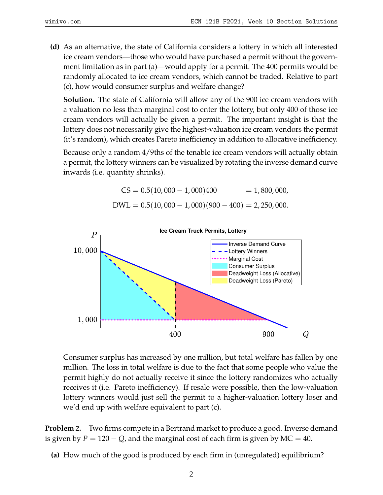**(d)** As an alternative, the state of California considers a lottery in which all interested ice cream vendors—those who would have purchased a permit without the government limitation as in part (a)—would apply for a permit. The 400 permits would be randomly allocated to ice cream vendors, which cannot be traded. Relative to part (c), how would consumer surplus and welfare change?

**Solution.** The state of California will allow any of the 900 ice cream vendors with a valuation no less than marginal cost to enter the lottery, but only 400 of those ice cream vendors will actually be given a permit. The important insight is that the lottery does not necessarily give the highest-valuation ice cream vendors the permit (it's random), which creates Pareto inefficiency in addition to allocative inefficiency.

Because only a random 4/9ths of the tenable ice cream vendors will actually obtain a permit, the lottery winners can be visualized by rotating the inverse demand curve inwards (i.e. quantity shrinks).

$$
CS = 0.5(10,000 - 1,000)400 = 1,800,000,
$$
  
DWL = 0.5(10,000 - 1,000)(900 - 400) = 2,250,000.



Consumer surplus has increased by one million, but total welfare has fallen by one million. The loss in total welfare is due to the fact that some people who value the permit highly do not actually receive it since the lottery randomizes who actually receives it (i.e. Pareto inefficiency). If resale were possible, then the low-valuation lottery winners would just sell the permit to a higher-valuation lottery loser and we'd end up with welfare equivalent to part (c).

**Problem 2.** Two firms compete in a Bertrand market to produce a good. Inverse demand is given by  $P = 120 - Q$ , and the marginal cost of each firm is given by MC = 40.

**(a)** How much of the good is produced by each firm in (unregulated) equilibrium?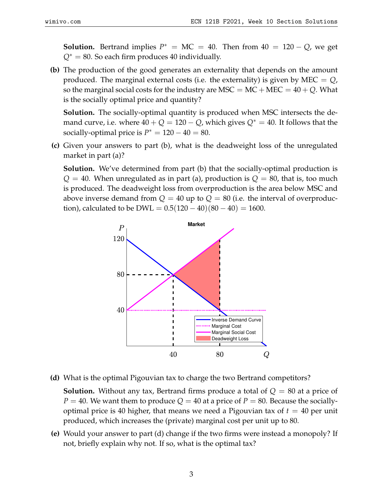**Solution.** Bertrand implies  $P^* = MC = 40$ . Then from  $40 = 120 - Q$ , we get *Q*<sup>∗</sup> = 80. So each firm produces 40 individually.

**(b)** The production of the good generates an externality that depends on the amount produced. The marginal external costs (i.e. the externality) is given by MEC  $= Q$ , so the marginal social costs for the industry are MSC  $=$  MC  $+$  MEC  $=$  40  $+$  Q. What is the socially optimal price and quantity?

**Solution.** The socially-optimal quantity is produced when MSC intersects the demand curve, i.e. where  $40 + Q = 120 - Q$ , which gives  $Q^* = 40$ . It follows that the socially-optimal price is  $P^* = 120 - 40 = 80$ .

**(c)** Given your answers to part (b), what is the deadweight loss of the unregulated market in part (a)?

**Solution.** We've determined from part (b) that the socially-optimal production is  $Q = 40$ . When unregulated as in part (a), production is  $Q = 80$ , that is, too much is produced. The deadweight loss from overproduction is the area below MSC and above inverse demand from  $Q = 40$  up to  $Q = 80$  (i.e. the interval of overproduction), calculated to be DWL =  $0.5(120-40)(80-40) = 1600$ .



**(d)** What is the optimal Pigouvian tax to charge the two Bertrand competitors?

**Solution.** Without any tax, Bertrand firms produce a total of *Q* = 80 at a price of  $P = 40$ . We want them to produce  $Q = 40$  at a price of  $P = 80$ . Because the sociallyoptimal price is 40 higher, that means we need a Pigouvian tax of  $t = 40$  per unit produced, which increases the (private) marginal cost per unit up to 80.

**(e)** Would your answer to part (d) change if the two firms were instead a monopoly? If not, briefly explain why not. If so, what is the optimal tax?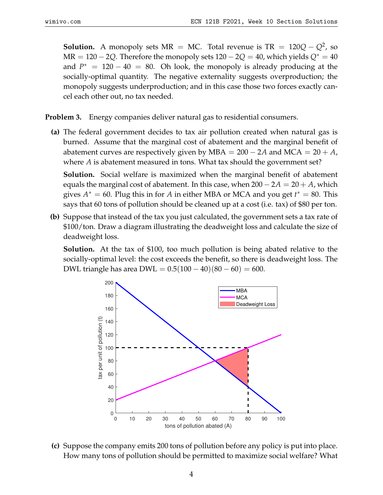**Solution.** A monopoly sets  $MR = MC$ . Total revenue is  $TR = 120Q - Q^2$ , so  $MR = 120 - 2Q$ . Therefore the monopoly sets  $120 - 2Q = 40$ , which yields  $Q^* = 40$ and  $P^* = 120 - 40 = 80$ . Oh look, the monopoly is already producing at the socially-optimal quantity. The negative externality suggests overproduction; the monopoly suggests underproduction; and in this case those two forces exactly cancel each other out, no tax needed.

**Problem 3.** Energy companies deliver natural gas to residential consumers.

**(a)** The federal government decides to tax air pollution created when natural gas is burned. Assume that the marginal cost of abatement and the marginal benefit of abatement curves are respectively given by MBA =  $200 - 2A$  and MCA =  $20 + A$ , where *A* is abatement measured in tons. What tax should the government set?

**Solution.** Social welfare is maximized when the marginal benefit of abatement equals the marginal cost of abatement. In this case, when  $200 - 2A = 20 + A$ , which gives  $A^* = 60$ . Plug this in for *A* in either MBA or MCA and you get  $t^* = 80$ . This says that 60 tons of pollution should be cleaned up at a cost (i.e. tax) of \$80 per ton.

**(b)** Suppose that instead of the tax you just calculated, the government sets a tax rate of \$100/ton. Draw a diagram illustrating the deadweight loss and calculate the size of deadweight loss.

**Solution.** At the tax of \$100, too much pollution is being abated relative to the socially-optimal level: the cost exceeds the benefit, so there is deadweight loss. The DWL triangle has area DWL =  $0.5(100 - 40)(80 - 60) = 600$ .



**(c)** Suppose the company emits 200 tons of pollution before any policy is put into place. How many tons of pollution should be permitted to maximize social welfare? What